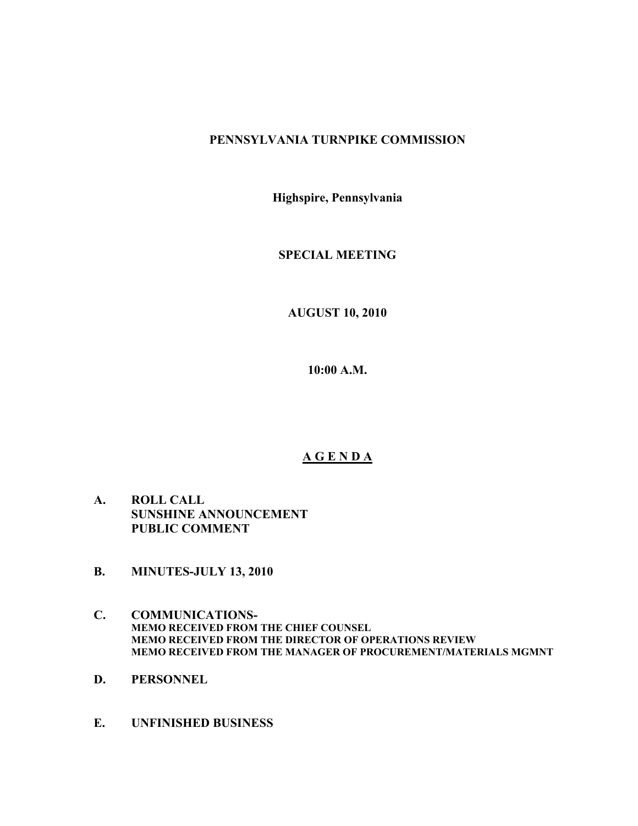# **PENNSYLVANIA TURNPIKE COMMISSION**

**Highspire, Pennsylvania**

# **SPECIAL MEETING**

**AUGUST 10, 2010**

**10:00 A.M.**

# **A G E N D A**

- **A. ROLL CALL SUNSHINE ANNOUNCEMENT PUBLIC COMMENT**
- **B. MINUTES-JULY 13, 2010**
- **C. COMMUNICATIONS-MEMO RECEIVED FROM THE CHIEF COUNSEL MEMO RECEIVED FROM THE DIRECTOR OF OPERATIONS REVIEW MEMO RECEIVED FROM THE MANAGER OF PROCUREMENT/MATERIALS MGMNT**
- **D. PERSONNEL**
- **E. UNFINISHED BUSINESS**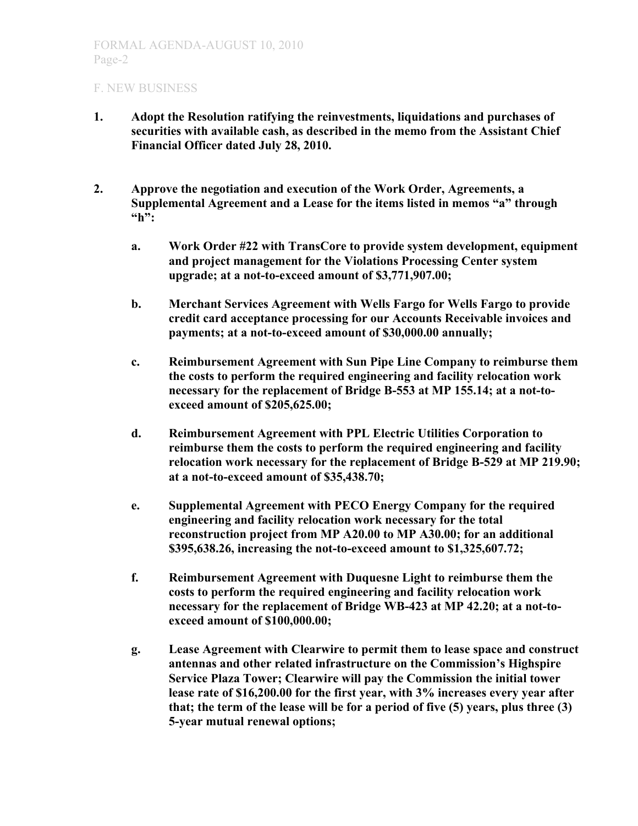- **1. Adopt the Resolution ratifying the reinvestments, liquidations and purchases of securities with available cash, as described in the memo from the Assistant Chief Financial Officer dated July 28, 2010.**
- **2. Approve the negotiation and execution of the Work Order, Agreements, a Supplemental Agreement and a Lease for the items listed in memos "a" through "h":**
	- **a. Work Order #22 with TransCore to provide system development, equipment and project management for the Violations Processing Center system upgrade; at a not-to-exceed amount of \$3,771,907.00;**
	- **b. Merchant Services Agreement with Wells Fargo for Wells Fargo to provide credit card acceptance processing for our Accounts Receivable invoices and payments; at a not-to-exceed amount of \$30,000.00 annually;**
	- **c. Reimbursement Agreement with Sun Pipe Line Company to reimburse them the costs to perform the required engineering and facility relocation work necessary for the replacement of Bridge B-553 at MP 155.14; at a not-toexceed amount of \$205,625.00;**
	- **d. Reimbursement Agreement with PPL Electric Utilities Corporation to reimburse them the costs to perform the required engineering and facility relocation work necessary for the replacement of Bridge B-529 at MP 219.90; at a not-to-exceed amount of \$35,438.70;**
	- **e. Supplemental Agreement with PECO Energy Company for the required engineering and facility relocation work necessary for the total reconstruction project from MP A20.00 to MP A30.00; for an additional \$395,638.26, increasing the not-to-exceed amount to \$1,325,607.72;**
	- **f. Reimbursement Agreement with Duquesne Light to reimburse them the costs to perform the required engineering and facility relocation work necessary for the replacement of Bridge WB-423 at MP 42.20; at a not-toexceed amount of \$100,000.00;**
	- **g. Lease Agreement with Clearwire to permit them to lease space and construct antennas and other related infrastructure on the Commission's Highspire Service Plaza Tower; Clearwire will pay the Commission the initial tower lease rate of \$16,200.00 for the first year, with 3% increases every year after that; the term of the lease will be for a period of five (5) years, plus three (3) 5-year mutual renewal options;**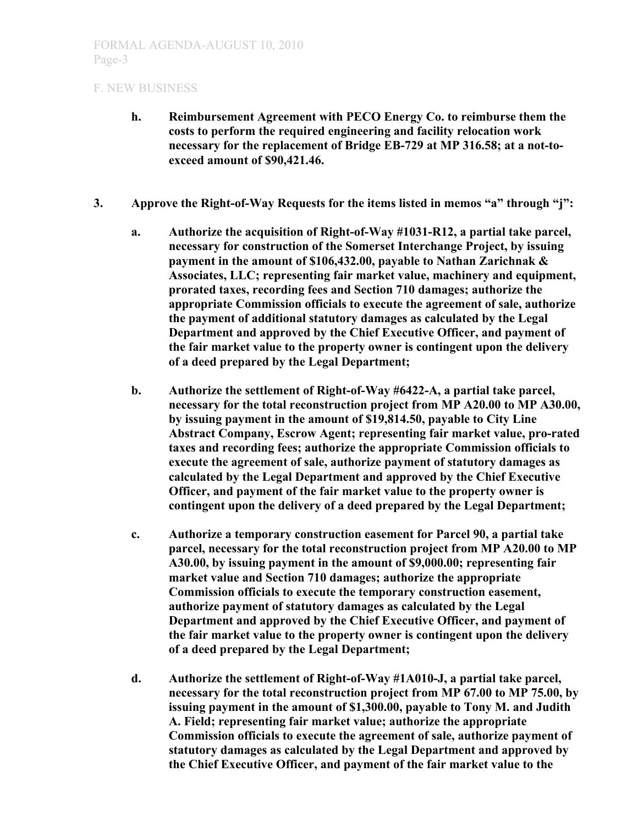- **h. Reimbursement Agreement with PECO Energy Co. to reimburse them the costs to perform the required engineering and facility relocation work necessary for the replacement of Bridge EB-729 at MP 316.58; at a not-toexceed amount of \$90,421.46.**
- **3. Approve the Right-of-Way Requests for the items listed in memos "a" through "j":**
	- **a. Authorize the acquisition of Right-of-Way #1031-R12, a partial take parcel, necessary for construction of the Somerset Interchange Project, by issuing payment in the amount of \$106,432.00, payable to Nathan Zarichnak & Associates, LLC; representing fair market value, machinery and equipment, prorated taxes, recording fees and Section 710 damages; authorize the appropriate Commission officials to execute the agreement of sale, authorize the payment of additional statutory damages as calculated by the Legal Department and approved by the Chief Executive Officer, and payment of the fair market value to the property owner is contingent upon the delivery of a deed prepared by the Legal Department;**
	- **b. Authorize the settlement of Right-of-Way #6422-A, a partial take parcel, necessary for the total reconstruction project from MP A20.00 to MP A30.00, by issuing payment in the amount of \$19,814.50, payable to City Line Abstract Company, Escrow Agent; representing fair market value, pro-rated taxes and recording fees; authorize the appropriate Commission officials to execute the agreement of sale, authorize payment of statutory damages as calculated by the Legal Department and approved by the Chief Executive Officer, and payment of the fair market value to the property owner is contingent upon the delivery of a deed prepared by the Legal Department;**
	- **c. Authorize a temporary construction easement for Parcel 90, a partial take parcel, necessary for the total reconstruction project from MP A20.00 to MP A30.00, by issuing payment in the amount of \$9,000.00; representing fair market value and Section 710 damages; authorize the appropriate Commission officials to execute the temporary construction easement, authorize payment of statutory damages as calculated by the Legal Department and approved by the Chief Executive Officer, and payment of the fair market value to the property owner is contingent upon the delivery of a deed prepared by the Legal Department;**
	- **d. Authorize the settlement of Right-of-Way #1A010-J, a partial take parcel, necessary for the total reconstruction project from MP 67.00 to MP 75.00, by issuing payment in the amount of \$1,300.00, payable to Tony M. and Judith A. Field; representing fair market value; authorize the appropriate Commission officials to execute the agreement of sale, authorize payment of statutory damages as calculated by the Legal Department and approved by the Chief Executive Officer, and payment of the fair market value to the**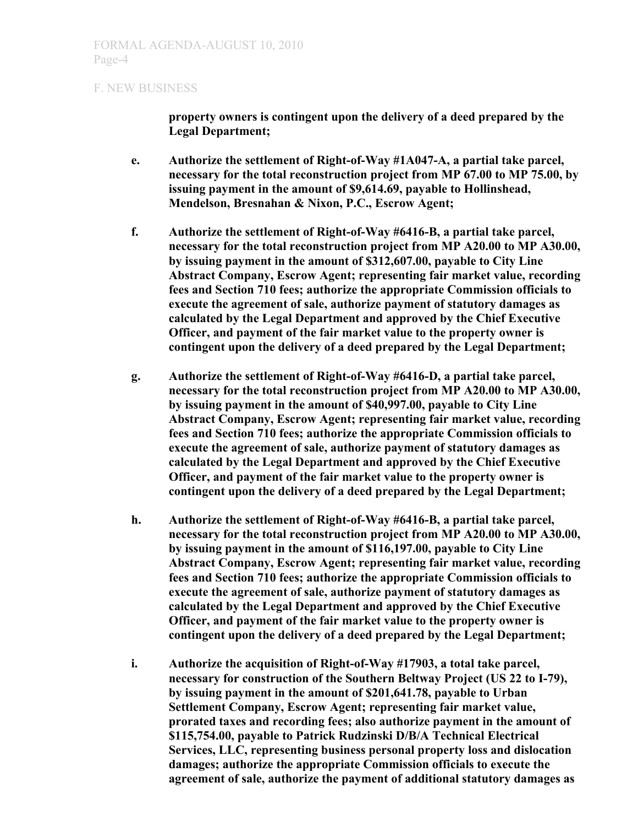**property owners is contingent upon the delivery of a deed prepared by the Legal Department;**

- **e. Authorize the settlement of Right-of-Way #1A047-A, a partial take parcel, necessary for the total reconstruction project from MP 67.00 to MP 75.00, by issuing payment in the amount of \$9,614.69, payable to Hollinshead, Mendelson, Bresnahan & Nixon, P.C., Escrow Agent;**
- **f. Authorize the settlement of Right-of-Way #6416-B, a partial take parcel, necessary for the total reconstruction project from MP A20.00 to MP A30.00, by issuing payment in the amount of \$312,607.00, payable to City Line Abstract Company, Escrow Agent; representing fair market value, recording fees and Section 710 fees; authorize the appropriate Commission officials to execute the agreement of sale, authorize payment of statutory damages as calculated by the Legal Department and approved by the Chief Executive Officer, and payment of the fair market value to the property owner is contingent upon the delivery of a deed prepared by the Legal Department;**
- **g. Authorize the settlement of Right-of-Way #6416-D, a partial take parcel, necessary for the total reconstruction project from MP A20.00 to MP A30.00, by issuing payment in the amount of \$40,997.00, payable to City Line Abstract Company, Escrow Agent; representing fair market value, recording fees and Section 710 fees; authorize the appropriate Commission officials to execute the agreement of sale, authorize payment of statutory damages as calculated by the Legal Department and approved by the Chief Executive Officer, and payment of the fair market value to the property owner is contingent upon the delivery of a deed prepared by the Legal Department;**
- **h. Authorize the settlement of Right-of-Way #6416-B, a partial take parcel, necessary for the total reconstruction project from MP A20.00 to MP A30.00, by issuing payment in the amount of \$116,197.00, payable to City Line Abstract Company, Escrow Agent; representing fair market value, recording fees and Section 710 fees; authorize the appropriate Commission officials to execute the agreement of sale, authorize payment of statutory damages as calculated by the Legal Department and approved by the Chief Executive Officer, and payment of the fair market value to the property owner is contingent upon the delivery of a deed prepared by the Legal Department;**
- **i. Authorize the acquisition of Right-of-Way #17903, a total take parcel, necessary for construction of the Southern Beltway Project (US 22 to I-79), by issuing payment in the amount of \$201,641.78, payable to Urban Settlement Company, Escrow Agent; representing fair market value, prorated taxes and recording fees; also authorize payment in the amount of \$115,754.00, payable to Patrick Rudzinski D/B/A Technical Electrical Services, LLC, representing business personal property loss and dislocation damages; authorize the appropriate Commission officials to execute the agreement of sale, authorize the payment of additional statutory damages as**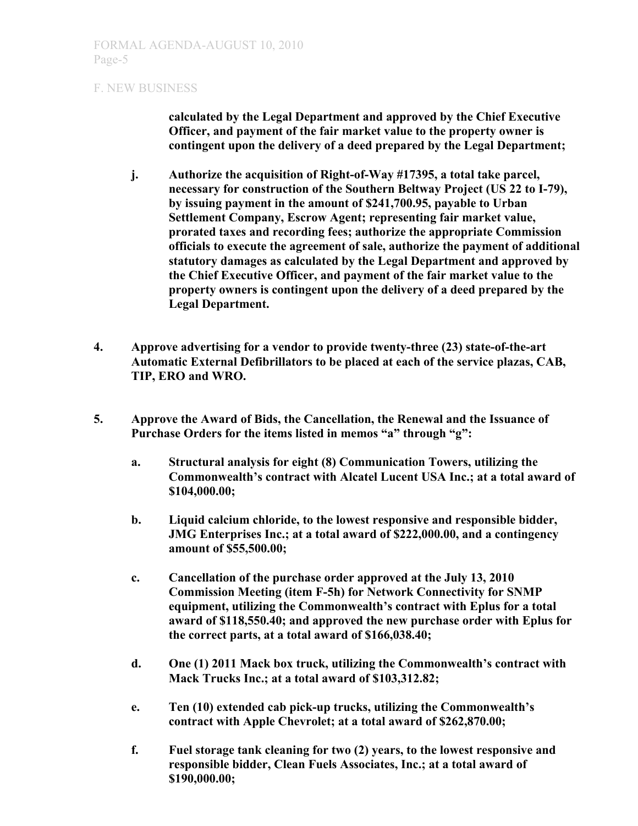**calculated by the Legal Department and approved by the Chief Executive Officer, and payment of the fair market value to the property owner is contingent upon the delivery of a deed prepared by the Legal Department;**

- **j. Authorize the acquisition of Right-of-Way #17395, a total take parcel, necessary for construction of the Southern Beltway Project (US 22 to I-79), by issuing payment in the amount of \$241,700.95, payable to Urban Settlement Company, Escrow Agent; representing fair market value, prorated taxes and recording fees; authorize the appropriate Commission officials to execute the agreement of sale, authorize the payment of additional statutory damages as calculated by the Legal Department and approved by the Chief Executive Officer, and payment of the fair market value to the property owners is contingent upon the delivery of a deed prepared by the Legal Department.**
- **4. Approve advertising for a vendor to provide twenty-three (23) state-of-the-art Automatic External Defibrillators to be placed at each of the service plazas, CAB, TIP, ERO and WRO.**
- **5. Approve the Award of Bids, the Cancellation, the Renewal and the Issuance of Purchase Orders for the items listed in memos "a" through "g":**
	- **a. Structural analysis for eight (8) Communication Towers, utilizing the Commonwealth's contract with Alcatel Lucent USA Inc.; at a total award of \$104,000.00;**
	- **b. Liquid calcium chloride, to the lowest responsive and responsible bidder, JMG Enterprises Inc.; at a total award of \$222,000.00, and a contingency amount of \$55,500.00;**
	- **c. Cancellation of the purchase order approved at the July 13, 2010 Commission Meeting (item F-5h) for Network Connectivity for SNMP equipment, utilizing the Commonwealth's contract with Eplus for a total award of \$118,550.40; and approved the new purchase order with Eplus for the correct parts, at a total award of \$166,038.40;**
	- **d. One (1) 2011 Mack box truck, utilizing the Commonwealth's contract with Mack Trucks Inc.; at a total award of \$103,312.82;**
	- **e. Ten (10) extended cab pick-up trucks, utilizing the Commonwealth's contract with Apple Chevrolet; at a total award of \$262,870.00;**
	- **f. Fuel storage tank cleaning for two (2) years, to the lowest responsive and responsible bidder, Clean Fuels Associates, Inc.; at a total award of \$190,000.00;**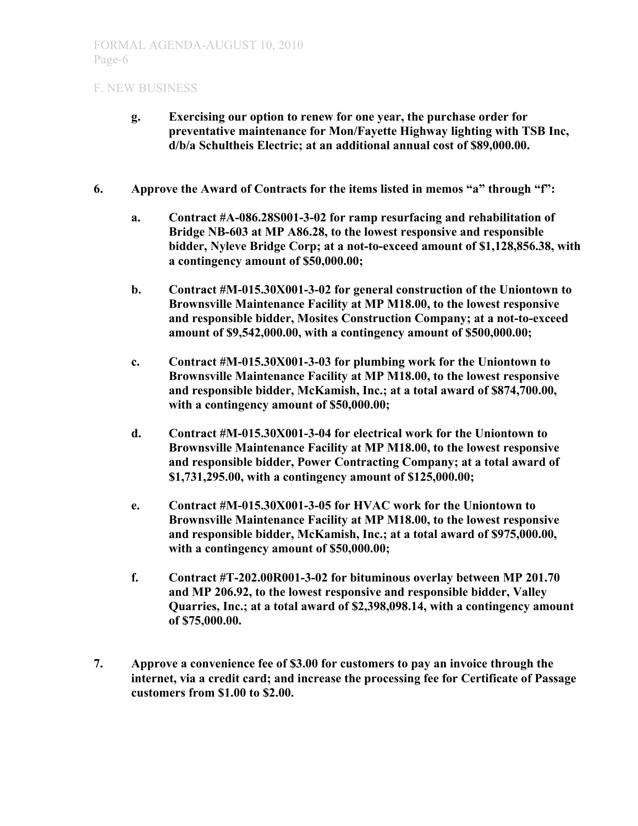- **g. Exercising our option to renew for one year, the purchase order for preventative maintenance for Mon/Fayette Highway lighting with TSB Inc, d/b/a Schultheis Electric; at an additional annual cost of \$89,000.00.**
- **6. Approve the Award of Contracts for the items listed in memos "a" through "f":**
	- **a. Contract #A-086.28S001-3-02 for ramp resurfacing and rehabilitation of Bridge NB-603 at MP A86.28, to the lowest responsive and responsible bidder, Nyleve Bridge Corp; at a not-to-exceed amount of \$1,128,856.38, with a contingency amount of \$50,000.00;**
	- **b. Contract #M-015.30X001-3-02 for general construction of the Uniontown to Brownsville Maintenance Facility at MP M18.00, to the lowest responsive and responsible bidder, Mosites Construction Company; at a not-to-exceed amount of \$9,542,000.00, with a contingency amount of \$500,000.00;**
	- **c. Contract #M-015.30X001-3-03 for plumbing work for the Uniontown to Brownsville Maintenance Facility at MP M18.00, to the lowest responsive and responsible bidder, McKamish, Inc.; at a total award of \$874,700.00, with a contingency amount of \$50,000.00;**
	- **d. Contract #M-015.30X001-3-04 for electrical work for the Uniontown to Brownsville Maintenance Facility at MP M18.00, to the lowest responsive and responsible bidder, Power Contracting Company; at a total award of \$1,731,295.00, with a contingency amount of \$125,000.00;**
	- **e. Contract #M-015.30X001-3-05 for HVAC work for the Uniontown to Brownsville Maintenance Facility at MP M18.00, to the lowest responsive and responsible bidder, McKamish, Inc.; at a total award of \$975,000.00, with a contingency amount of \$50,000.00;**
	- **f. Contract #T-202.00R001-3-02 for bituminous overlay between MP 201.70 and MP 206.92, to the lowest responsive and responsible bidder, Valley Quarries, Inc.; at a total award of \$2,398,098.14, with a contingency amount of \$75,000.00.**
- **7. Approve a convenience fee of \$3.00 for customers to pay an invoice through the internet, via a credit card; and increase the processing fee for Certificate of Passage customers from \$1.00 to \$2.00.**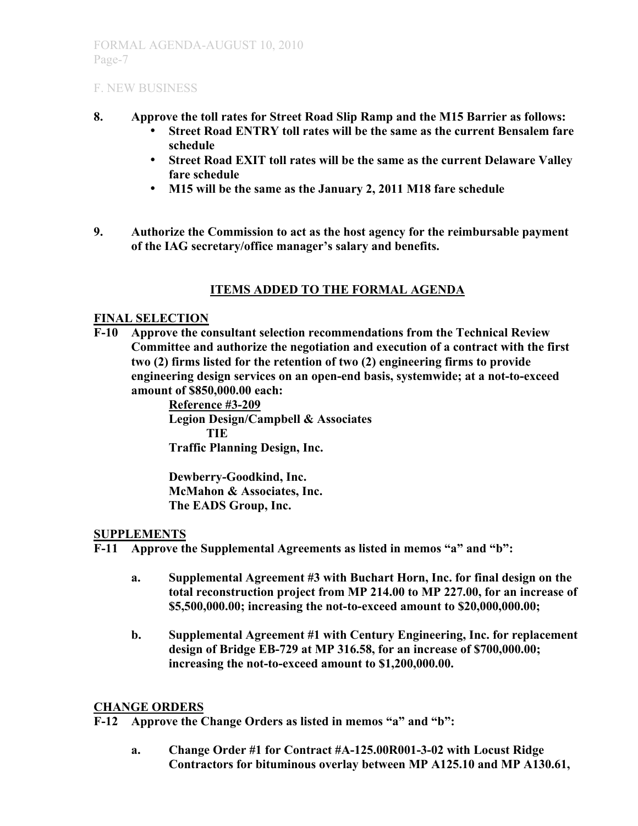- **8. Approve the toll rates for Street Road Slip Ramp and the M15 Barrier as follows:**
	- **Street Road ENTRY toll rates will be the same as the current Bensalem fare schedule**
	- **Street Road EXIT toll rates will be the same as the current Delaware Valley fare schedule**
	- **M15 will be the same as the January 2, 2011 M18 fare schedule**
- **9. Authorize the Commission to act as the host agency for the reimbursable payment of the IAG secretary/office manager's salary and benefits.**

## **ITEMS ADDED TO THE FORMAL AGENDA**

### **FINAL SELECTION**

**F-10 Approve the consultant selection recommendations from the Technical Review Committee and authorize the negotiation and execution of a contract with the first two (2) firms listed for the retention of two (2) engineering firms to provide engineering design services on an open-end basis, systemwide; at a not-to-exceed amount of \$850,000.00 each:**

> **Reference #3-209 Legion Design/Campbell & Associates TIE Traffic Planning Design, Inc.**

**Dewberry-Goodkind, Inc. McMahon & Associates, Inc. The EADS Group, Inc.**

### **SUPPLEMENTS**

- **F-11 Approve the Supplemental Agreements as listed in memos "a" and "b":**
	- **a. Supplemental Agreement #3 with Buchart Horn, Inc. for final design on the total reconstruction project from MP 214.00 to MP 227.00, for an increase of \$5,500,000.00; increasing the not-to-exceed amount to \$20,000,000.00;**
	- **b. Supplemental Agreement #1 with Century Engineering, Inc. for replacement design of Bridge EB-729 at MP 316.58, for an increase of \$700,000.00; increasing the not-to-exceed amount to \$1,200,000.00.**

### **CHANGE ORDERS**

**F-12 Approve the Change Orders as listed in memos "a" and "b":**

**a. Change Order #1 for Contract #A-125.00R001-3-02 with Locust Ridge Contractors for bituminous overlay between MP A125.10 and MP A130.61,**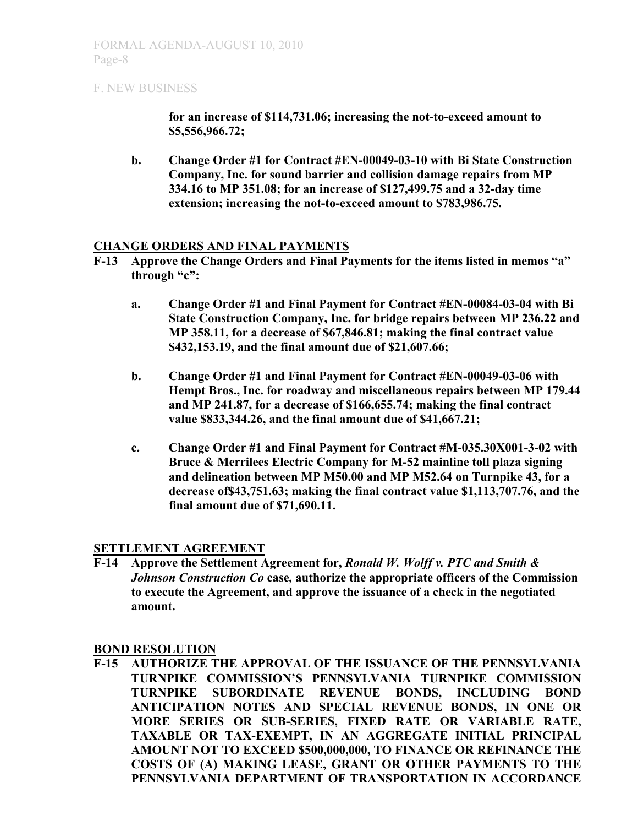**for an increase of \$114,731.06; increasing the not-to-exceed amount to \$5,556,966.72;**

**b. Change Order #1 for Contract #EN-00049-03-10 with Bi State Construction Company, Inc. for sound barrier and collision damage repairs from MP 334.16 to MP 351.08; for an increase of \$127,499.75 and a 32-day time extension; increasing the not-to-exceed amount to \$783,986.75.**

### **CHANGE ORDERS AND FINAL PAYMENTS**

- **F-13 Approve the Change Orders and Final Payments for the items listed in memos "a" through "c":**
	- **a. Change Order #1 and Final Payment for Contract #EN-00084-03-04 with Bi State Construction Company, Inc. for bridge repairs between MP 236.22 and MP 358.11, for a decrease of \$67,846.81; making the final contract value \$432,153.19, and the final amount due of \$21,607.66;**
	- **b. Change Order #1 and Final Payment for Contract #EN-00049-03-06 with Hempt Bros., Inc. for roadway and miscellaneous repairs between MP 179.44 and MP 241.87, for a decrease of \$166,655.74; making the final contract value \$833,344.26, and the final amount due of \$41,667.21;**
	- **c. Change Order #1 and Final Payment for Contract #M-035.30X001-3-02 with Bruce & Merrilees Electric Company for M-52 mainline toll plaza signing and delineation between MP M50.00 and MP M52.64 on Turnpike 43, for a decrease of\$43,751.63; making the final contract value \$1,113,707.76, and the final amount due of \$71,690.11.**

### **SETTLEMENT AGREEMENT**

**F-14 Approve the Settlement Agreement for,** *Ronald W. Wolff v. PTC and Smith & Johnson Construction Co* **case***,* **authorize the appropriate officers of the Commission to execute the Agreement, and approve the issuance of a check in the negotiated amount.**

### **BOND RESOLUTION**

**F-15 AUTHORIZE THE APPROVAL OF THE ISSUANCE OF THE PENNSYLVANIA TURNPIKE COMMISSION'S PENNSYLVANIA TURNPIKE COMMISSION TURNPIKE SUBORDINATE REVENUE BONDS, INCLUDING BOND ANTICIPATION NOTES AND SPECIAL REVENUE BONDS, IN ONE OR MORE SERIES OR SUB-SERIES, FIXED RATE OR VARIABLE RATE, TAXABLE OR TAX-EXEMPT, IN AN AGGREGATE INITIAL PRINCIPAL AMOUNT NOT TO EXCEED \$500,000,000, TO FINANCE OR REFINANCE THE COSTS OF (A) MAKING LEASE, GRANT OR OTHER PAYMENTS TO THE PENNSYLVANIA DEPARTMENT OF TRANSPORTATION IN ACCORDANCE**